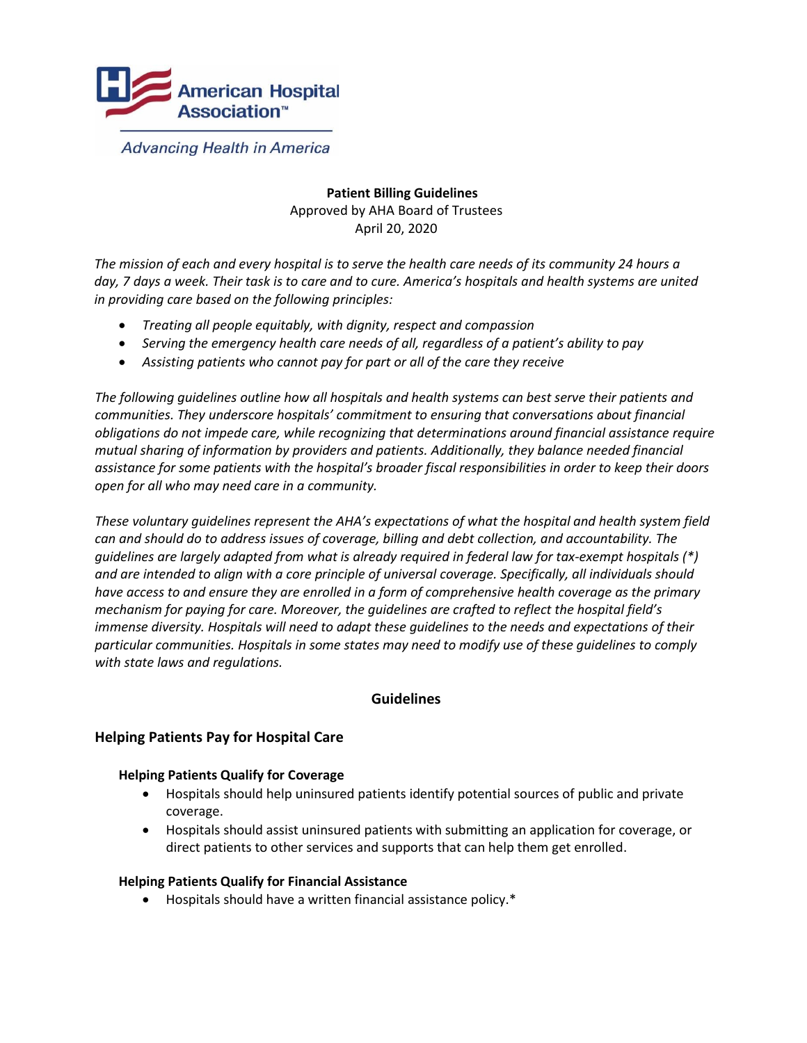

**Advancing Health in America** 

# **Patient Billing Guidelines**  Approved by AHA Board of Trustees April 20, 2020

*The mission of each and every hospital is to serve the health care needs of its community 24 hours a day, 7 days a week. Their task is to care and to cure. America's hospitals and health systems are united in providing care based on the following principles:* 

- *Treating all people equitably, with dignity, respect and compassion*
- *Serving the emergency health care needs of all, regardless of a patient's ability to pay*
- *Assisting patients who cannot pay for part or all of the care they receive*

*The following guidelines outline how all hospitals and health systems can best serve their patients and communities. They underscore hospitals' commitment to ensuring that conversations about financial obligations do not impede care, while recognizing that determinations around financial assistance require mutual sharing of information by providers and patients. Additionally, they balance needed financial assistance for some patients with the hospital's broader fiscal responsibilities in order to keep their doors open for all who may need care in a community.*

*These voluntary guidelines represent the AHA's expectations of what the hospital and health system field can and should do to address issues of coverage, billing and debt collection, and accountability. The guidelines are largely adapted from what is already required in federal law for tax-exempt hospitals (\*) and are intended to align with a core principle of universal coverage. Specifically, all individuals should have access to and ensure they are enrolled in a form of comprehensive health coverage as the primary mechanism for paying for care. Moreover, the guidelines are crafted to reflect the hospital field's immense diversity. Hospitals will need to adapt these guidelines to the needs and expectations of their particular communities. Hospitals in some states may need to modify use of these guidelines to comply with state laws and regulations.* 

## **Guidelines**

## **Helping Patients Pay for Hospital Care**

#### **Helping Patients Qualify for Coverage**

- Hospitals should help uninsured patients identify potential sources of public and private coverage.
- Hospitals should assist uninsured patients with submitting an application for coverage, or direct patients to other services and supports that can help them get enrolled.

#### **Helping Patients Qualify for Financial Assistance**

Hospitals should have a written financial assistance policy.\*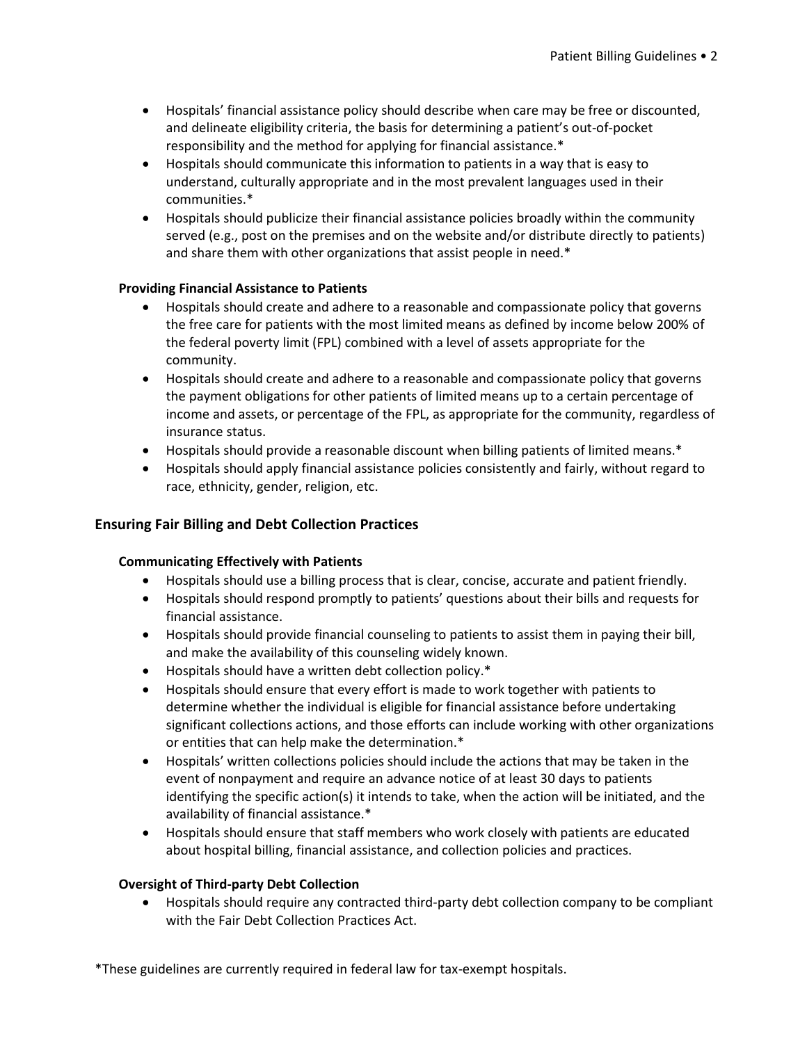- Hospitals' financial assistance policy should describe when care may be free or discounted, and delineate eligibility criteria, the basis for determining a patient's out-of-pocket responsibility and the method for applying for financial assistance.\*
- Hospitals should communicate this information to patients in a way that is easy to understand, culturally appropriate and in the most prevalent languages used in their communities.\*
- Hospitals should publicize their financial assistance policies broadly within the community served (e.g., post on the premises and on the website and/or distribute directly to patients) and share them with other organizations that assist people in need.\*

# **Providing Financial Assistance to Patients**

- Hospitals should create and adhere to a reasonable and compassionate policy that governs the free care for patients with the most limited means as defined by income below 200% of the federal poverty limit (FPL) combined with a level of assets appropriate for the community.
- Hospitals should create and adhere to a reasonable and compassionate policy that governs the payment obligations for other patients of limited means up to a certain percentage of income and assets, or percentage of the FPL, as appropriate for the community, regardless of insurance status.
- Hospitals should provide a reasonable discount when billing patients of limited means.\*
- Hospitals should apply financial assistance policies consistently and fairly, without regard to race, ethnicity, gender, religion, etc.

# **Ensuring Fair Billing and Debt Collection Practices**

## **Communicating Effectively with Patients**

- Hospitals should use a billing process that is clear, concise, accurate and patient friendly.
- Hospitals should respond promptly to patients' questions about their bills and requests for financial assistance.
- Hospitals should provide financial counseling to patients to assist them in paying their bill, and make the availability of this counseling widely known.
- Hospitals should have a written debt collection policy.\*
- Hospitals should ensure that every effort is made to work together with patients to determine whether the individual is eligible for financial assistance before undertaking significant collections actions, and those efforts can include working with other organizations or entities that can help make the determination.\*
- Hospitals' written collections policies should include the actions that may be taken in the event of nonpayment and require an advance notice of at least 30 days to patients identifying the specific action(s) it intends to take, when the action will be initiated, and the availability of financial assistance.\*
- Hospitals should ensure that staff members who work closely with patients are educated about hospital billing, financial assistance, and collection policies and practices.

## **Oversight of Third-party Debt Collection**

 Hospitals should require any contracted third-party debt collection company to be compliant with the Fair Debt Collection Practices Act.

\*These guidelines are currently required in federal law for tax-exempt hospitals.